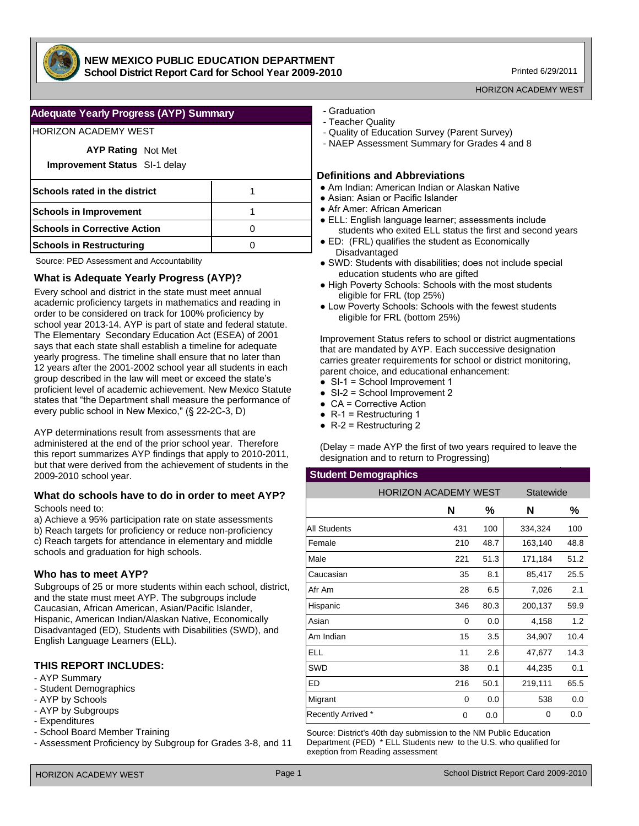

### **NEW MEXICO PUBLIC EDUCATION DEPARTMENT School District Report Card for School Year 2009-2010**

Printed 6/29/2011

#### HORIZON ACADEMY WEST

## **Adequate Yearly Progress (AYP) Summary**

# HORIZON ACADEMY WEST

| <b>AYP Rating Not Met</b>            |  |
|--------------------------------------|--|
| <b>Improvement Status</b> SI-1 delay |  |
| Schools rated in the district        |  |
| <b>Schools in Improvement</b>        |  |
| <b>Schools in Corrective Action</b>  |  |
| <b>Schools in Restructuring</b>      |  |

Source: PED Assessment and Accountability

## **What is Adequate Yearly Progress (AYP)?**

Every school and district in the state must meet annual academic proficiency targets in mathematics and reading in order to be considered on track for 100% proficiency by school year 2013-14. AYP is part of state and federal statute. The Elementary Secondary Education Act (ESEA) of 2001 says that each state shall establish a timeline for adequate yearly progress. The timeline shall ensure that no later than 12 years after the 2001-2002 school year all students in each group described in the law will meet or exceed the state's proficient level of academic achievement. New Mexico Statute states that "the Department shall measure the performance of every public school in New Mexico," (§ 22-2C-3, D)

AYP determinations result from assessments that are administered at the end of the prior school year. Therefore this report summarizes AYP findings that apply to 2010-2011, but that were derived from the achievement of students in the 2009-2010 school year.

#### **What do schools have to do in order to meet AYP?** Schools need to:

a) Achieve a 95% participation rate on state assessments b) Reach targets for proficiency or reduce non-proficiency c) Reach targets for attendance in elementary and middle schools and graduation for high schools.

## **Who has to meet AYP?**

Subgroups of 25 or more students within each school, district, and the state must meet AYP. The subgroups include Caucasian, African American, Asian/Pacific Islander, Hispanic, American Indian/Alaskan Native, Economically Disadvantaged (ED), Students with Disabilities (SWD), and English Language Learners (ELL).

# **THIS REPORT INCLUDES:**

- AYP Summary
- Student Demographics
- AYP by Schools
- AYP by Subgroups
- Expenditures
- School Board Member Training
- Assessment Proficiency by Subgroup for Grades 3-8, and 11
- Graduation
- Teacher Quality
- Quality of Education Survey (Parent Survey)
- NAEP Assessment Summary for Grades 4 and 8

#### **Definitions and Abbreviations**

- Am Indian: American Indian or Alaskan Native
- Asian: Asian or Pacific Islander
- Afr Amer: African American
- ELL: English language learner; assessments include students who exited ELL status the first and second years
- ED: (FRL) qualifies the student as Economically Disadvantaged
- SWD: Students with disabilities; does not include special education students who are gifted
- High Poverty Schools: Schools with the most students eligible for FRL (top 25%)
- Low Poverty Schools: Schools with the fewest students eligible for FRL (bottom 25%)

Improvement Status refers to school or district augmentations that are mandated by AYP. Each successive designation carries greater requirements for school or district monitoring, parent choice, and educational enhancement:

- SI-1 = School Improvement 1
- $\bullet$  SI-2 = School Improvement 2
- $\bullet$  CA = Corrective Action
- $\bullet$  R-1 = Restructuring 1
- $\bullet$  R-2 = Restructuring 2

(Delay = made AYP the first of two years required to leave the designation and to return to Progressing)

#### **Student Demographics**

|                           | <b>HORIZON ACADEMY WEST</b> |      | Statewide |      |
|---------------------------|-----------------------------|------|-----------|------|
|                           | N                           | %    | N         | %    |
| <b>All Students</b>       | 431                         | 100  | 334,324   | 100  |
| Female                    | 210                         | 48.7 | 163,140   | 48.8 |
| Male                      | 221                         | 51.3 | 171,184   | 51.2 |
| Caucasian                 | 35                          | 8.1  | 85,417    | 25.5 |
| Afr Am                    | 28                          | 6.5  | 7,026     | 2.1  |
| Hispanic                  | 346                         | 80.3 | 200,137   | 59.9 |
| Asian                     | 0                           | 0.0  | 4,158     | 1.2  |
| Am Indian                 | 15                          | 3.5  | 34,907    | 10.4 |
| <b>ELL</b>                | 11                          | 2.6  | 47,677    | 14.3 |
| SWD                       | 38                          | 0.1  | 44,235    | 0.1  |
| ED                        | 216                         | 50.1 | 219,111   | 65.5 |
| Migrant                   | 0                           | 0.0  | 538       | 0.0  |
| <b>Recently Arrived *</b> | 0                           | 0.0  | 0         | 0.0  |

Source: District's 40th day submission to the NM Public Education Department (PED) \* ELL Students new to the U.S. who qualified for exeption from Reading assessment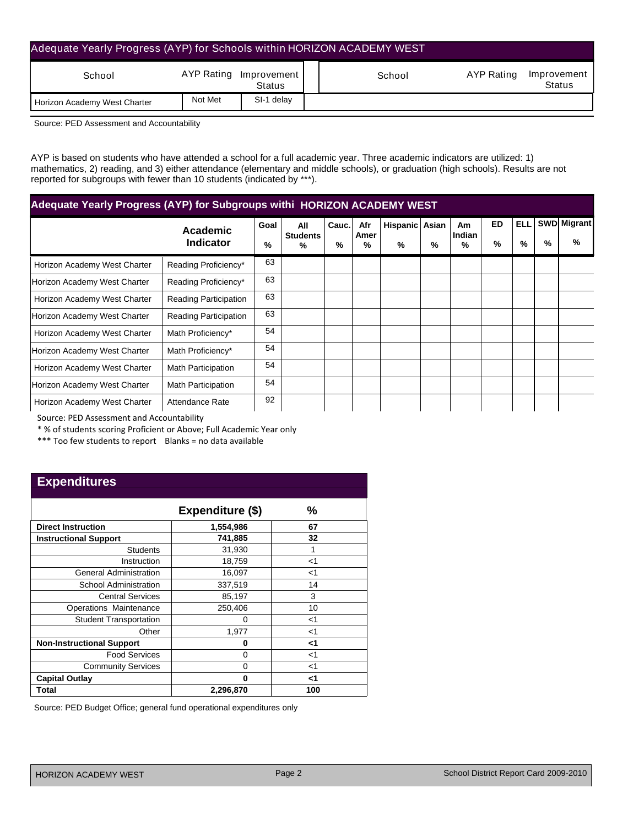| Adequate Yearly Progress (AYP) for Schools within HORIZON ACADEMY WEST |         |                                  |        |            |                       |
|------------------------------------------------------------------------|---------|----------------------------------|--------|------------|-----------------------|
| School                                                                 |         | AYP Rating Improvement<br>Status | School | AYP Rating | Improvement<br>Status |
| Horizon Academy West Charter                                           | Not Met | SI-1 delay                       |        |            |                       |

Source: PED Assessment and Accountability

AYP is based on students who have attended a school for a full academic year. Three academic indicators are utilized: 1) mathematics, 2) reading, and 3) either attendance (elementary and middle schools), or graduation (high schools). Results are not reported for subgroups with fewer than 10 students (indicated by \*\*\*).

| Adequate Yearly Progress (AYP) for Subgroups withi HORIZON ACADEMY WEST |                              |      |                      |       |           |                |   |                     |           |      |      |                    |
|-------------------------------------------------------------------------|------------------------------|------|----------------------|-------|-----------|----------------|---|---------------------|-----------|------|------|--------------------|
|                                                                         | Academic                     | Goal | All                  | Cauc. | Afr       | Hispanic Asian |   | <b>Am</b><br>Indian | <b>ED</b> | ELLI |      | <b>SWD</b> Migrant |
|                                                                         | <b>Indicator</b>             | %    | <b>Students</b><br>% | %     | Amer<br>% | %              | % | %                   | %         | %    | $\%$ | %                  |
| Horizon Academy West Charter                                            | Reading Proficiency*         | 63   |                      |       |           |                |   |                     |           |      |      |                    |
| Horizon Academy West Charter                                            | Reading Proficiency*         | 63   |                      |       |           |                |   |                     |           |      |      |                    |
| Horizon Academy West Charter                                            | <b>Reading Participation</b> | 63   |                      |       |           |                |   |                     |           |      |      |                    |
| Horizon Academy West Charter                                            | <b>Reading Participation</b> | 63   |                      |       |           |                |   |                     |           |      |      |                    |
| Horizon Academy West Charter                                            | Math Proficiency*            | 54   |                      |       |           |                |   |                     |           |      |      |                    |
| Horizon Academy West Charter                                            | Math Proficiency*            | 54   |                      |       |           |                |   |                     |           |      |      |                    |
| Horizon Academy West Charter                                            | Math Participation           | 54   |                      |       |           |                |   |                     |           |      |      |                    |
| Horizon Academy West Charter                                            | Math Participation           | 54   |                      |       |           |                |   |                     |           |      |      |                    |
| Horizon Academy West Charter                                            | Attendance Rate              | 92   |                      |       |           |                |   |                     |           |      |      |                    |

Source: PED Assessment and Accountability

\* % of students scoring Proficient or Above; Full Academic Year only

\*\*\* Too few students to report Blanks = no data available

# **Expenditures**

|                                  | Expenditure (\$) | ℅   |
|----------------------------------|------------------|-----|
| <b>Direct Instruction</b>        | 1,554,986        | 67  |
| <b>Instructional Support</b>     | 741,885          | 32  |
| <b>Students</b>                  | 31,930           |     |
| Instruction                      | 18,759           | <1  |
| <b>General Administration</b>    | 16,097           | ا>  |
| School Administration            | 337,519          | 14  |
| <b>Central Services</b>          | 85,197           | 3   |
| Operations Maintenance           | 250,406          | 10  |
| <b>Student Transportation</b>    | O                | <1  |
| Other                            | 1,977            | ا>  |
| <b>Non-Instructional Support</b> | 0                | ا>  |
| <b>Food Services</b>             | 0                | <1  |
| <b>Community Services</b>        | 0                | <1  |
| <b>Capital Outlay</b>            | 0                | ا>  |
| Total                            | 2,296,870        | 100 |

Source: PED Budget Office; general fund operational expenditures only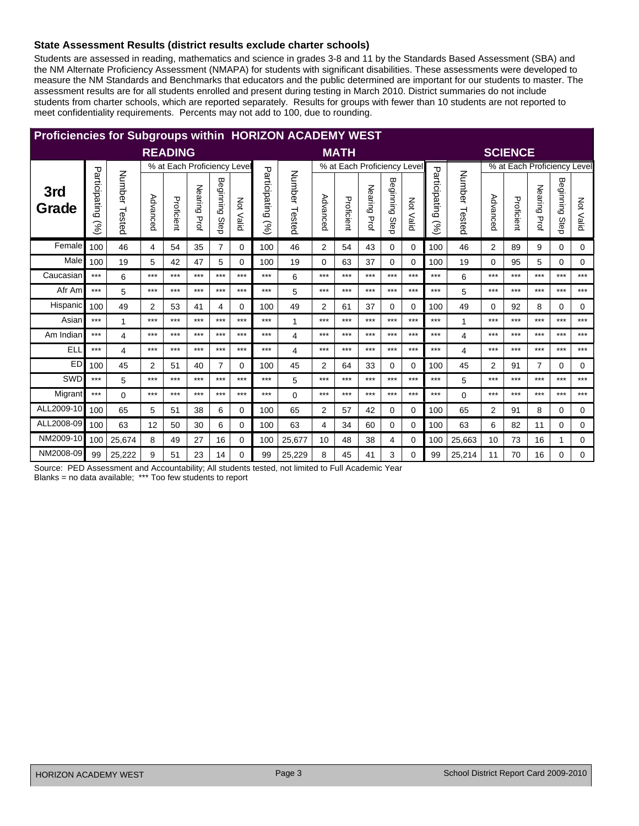## State Assessment Results (district results exclude charter schools)

Students are assessed in reading, mathematics and science in grades 3-8 and 11 by the Standards Based Assessment (SBA) and the NM Alternate Proficiency Assessment (NMAPA) for students with significant disabilities. These assessments were developed to measure the NM Standards and Benchmarks that educators and the public determined are important for our students to master. The assessment results are for all students enrolled and present during testing in March 2010. District summaries do not include students from charter schools, which are reported separately. Results for groups with fewer than 10 students are not reported to meet confidentiality requirements. Percents may not add to 100, due to rounding.

| <b>Proficiencies for Subgroups within HORIZON ACADEMY WEST</b> |                      |               |                |                             |                 |                   |                  |                      |                  |                |                             |              |                |                  |                      |               |          |                |                             |                   |           |
|----------------------------------------------------------------|----------------------|---------------|----------------|-----------------------------|-----------------|-------------------|------------------|----------------------|------------------|----------------|-----------------------------|--------------|----------------|------------------|----------------------|---------------|----------|----------------|-----------------------------|-------------------|-----------|
|                                                                |                      |               |                | <b>READING</b>              |                 |                   |                  |                      |                  |                | <b>MATH</b>                 |              |                |                  |                      |               |          | <b>SCIENCE</b> |                             |                   |           |
|                                                                |                      |               |                | % at Each Proficiency Level |                 |                   |                  |                      |                  |                | % at Each Proficiency Level |              |                |                  |                      |               |          |                | % at Each Proficiency Level |                   |           |
| 3rd<br>Grade                                                   | Participating<br>(%) | Number Tested | Advanced       | Proficient                  | Nearing<br>Prof | Beginning<br>Step | <b>Not Valid</b> | Participating<br>(%) | Number<br>Tested | Advanced       | Proficient                  | Nearing Prof | Beginning Step | <b>Not Valid</b> | Participating<br>(%) | Number Tested | Advanced | Proficient     | Nearing<br>Prof             | Beginning<br>Step | Not Valid |
| Female                                                         | 100                  | 46            | 4              | 54                          | 35              | $\overline{7}$    | 0                | 100                  | 46               | 2              | 54                          | 43           | 0              | $\Omega$         | 100                  | 46            | 2        | 89             | 9                           | 0                 | 0         |
| Male                                                           | 100                  | 19            | 5              | 42                          | 47              | 5                 | 0                | 100                  | 19               | 0              | 63                          | 37           | 0              | 0                | 100                  | 19            | $\Omega$ | 95             | 5                           | 0                 | 0         |
| Caucasian                                                      | $***$                | 6             | $***$          | $***$                       | $***$           | $***$             | $***$            | $***$                | 6                | $***$          | ***                         | $***$        | $***$          | $***$            | $***$                | 6             | ***      | $***$          | $***$                       | $***$             | $***$     |
| Afr Am                                                         | $***$                | 5             | $***$          | $***$                       | $***$           | $***$             | $***$            | $***$                | 5                | $***$          | $***$                       | $***$        | $***$          | $***$            | $***$                | 5             | $***$    | ***            | $***$                       | $***$             | $***$     |
| Hispanic                                                       | 100                  | 49            | $\overline{2}$ | 53                          | 41              | 4                 | 0                | 100                  | 49               | 2              | 61                          | 37           | 0              | 0                | 100                  | 49            | 0        | 92             | 8                           | 0                 | 0         |
| Asian                                                          | $***$                | 1             | $***$          | $***$                       | $***$           | $***$             | $***$            | $***$                | 1                | $***$          | $***$                       | $***$        | $***$          | $***$            | $***$                | 1             | $***$    | $***$          | $***$                       | $***$             | $***$     |
| Am Indian                                                      | $***$                | 4             | $***$          | $***$                       | $***$           | $***$             | $***$            | $***$                | 4                | $***$          | $***$                       | $***$        | $***$          | $***$            | $***$                | 4             | ***      | ***            | $***$                       | $***$             | $***$     |
| <b>ELL</b>                                                     | $***$                | 4             | $***$          | $***$                       | $***$           | $***$             | $***$            | $***$                | 4                | $***$          | $***$                       | $***$        | $***$          | $***$            | $***$                | 4             | ***      | ***            | $***$                       | $***$             | $***$     |
| <b>ED</b>                                                      | 100                  | 45            | $\overline{2}$ | 51                          | 40              | $\overline{7}$    | $\Omega$         | 100                  | 45               | 2              | 64                          | 33           | 0              | $\Omega$         | 100                  | 45            | 2        | 91             | $\overline{7}$              | 0                 | $\Omega$  |
| SWD                                                            | $***$                | 5             | $***$          | $***$                       | $***$           | $***$             | $***$            | $***$                | 5                | $***$          | ***                         | $***$        | $***$          | $***$            | $***$                | 5             | ***      | ***            | $***$                       | $***$             | $***$     |
| Migrant                                                        | $***$                | $\Omega$      | $***$          | $***$                       | $***$           | $***$             | $***$            | $***$                | $\Omega$         | $***$          | $***$                       | $***$        | $***$          | $***$            | $***$                | $\Omega$      | ***      | ***            | $***$                       | $***$             | $***$     |
| ALL2009-10                                                     | 100                  | 65            | 5              | 51                          | 38              | 6                 | 0                | 100                  | 65               | $\overline{2}$ | 57                          | 42           | 0              | 0                | 100                  | 65            | 2        | 91             | 8                           | 0                 | 0         |
| ALL2008-09                                                     | 100                  | 63            | 12             | 50                          | 30              | 6                 | 0                | 100                  | 63               | 4              | 34                          | 60           | 0              | 0                | 100                  | 63            | 6        | 82             | 11                          | 0                 | 0         |
| NM2009-10                                                      | 100                  | 25,674        | 8              | 49                          | 27              | 16                | 0                | 100                  | 25,677           | 10             | 48                          | 38           | 4              | 0                | 100                  | 25,663        | 10       | 73             | 16                          | 1                 | 0         |
| NM2008-09                                                      | 99                   | 25,222        | 9              | 51                          | 23              | 14                | 0                | 99                   | 25.229           | 8              | 45                          | 41           | 3              | 0                | 99                   | 25.214        | 11       | 70             | 16                          | 0                 | 0         |

Source: PED Assessment and Accountability; All students tested, not limited to Full Academic Year Blanks = no data available; \*\*\* Too few students to report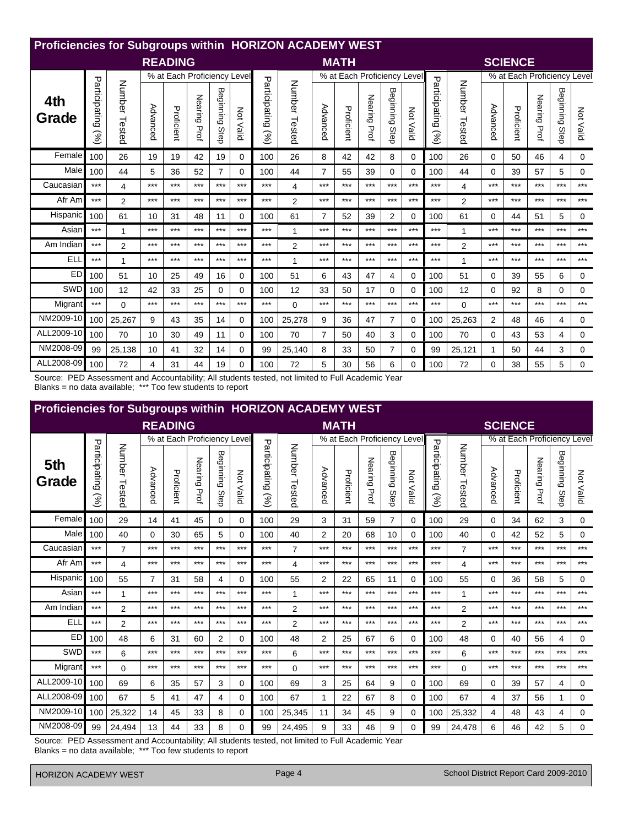| Proficiencies for Subgroups within HORIZON ACADEMY WEST |                      |                  |          |                             |                 |                   |           |                                |                  |                |                             |                 |                   |              |                       |                |                |                             |                 |                   |           |
|---------------------------------------------------------|----------------------|------------------|----------|-----------------------------|-----------------|-------------------|-----------|--------------------------------|------------------|----------------|-----------------------------|-----------------|-------------------|--------------|-----------------------|----------------|----------------|-----------------------------|-----------------|-------------------|-----------|
|                                                         |                      |                  |          | <b>READING</b>              |                 |                   |           |                                |                  |                | <b>MATH</b>                 |                 |                   |              |                       |                |                | <b>SCIENCE</b>              |                 |                   |           |
|                                                         |                      |                  |          | % at Each Proficiency Level |                 |                   |           |                                |                  |                | % at Each Proficiency Level |                 |                   |              |                       |                |                | % at Each Proficiency Level |                 |                   |           |
| 4th<br>Grade                                            | Participating<br>Sol | Number<br>Tested | Advanced | Proficient                  | Nearing<br>Prof | Beginning<br>Step | Not Valid | Participating<br>$\mathcal{S}$ | Number<br>Tested | Advanced       | Proficient                  | Nearing<br>Prof | Beginning<br>Step | Νot<br>Valid | Participating<br>(96) | Number Tested  | Advanced       | Proficient                  | Nearing<br>Prof | Beginning<br>Step | Not Valid |
| Female                                                  | 100                  | 26               | 19       | 19                          | 42              | 19                | $\Omega$  | 100                            | 26               | 8              | 42                          | 42              | 8                 | 0            | 100                   | 26             | $\Omega$       | 50                          | 46              | 4                 | 0         |
| Male                                                    | 100                  | 44               | 5        | 36                          | 52              | 7                 | $\Omega$  | 100                            | 44               | 7              | 55                          | 39              | 0                 | 0            | 100                   | 44             | 0              | 39                          | 57              | 5                 | $\Omega$  |
| Caucasian                                               | $***$                | 4                | $***$    | $***$                       | $***$           | $***$             | $***$     | $***$                          | 4                | ***            | $***$                       | $***$           | $***$             | $***$        | $***$                 | 4              | $***$          | $***$                       | $***$           | $***$             | $***$     |
| Afr Am                                                  | $***$                | $\overline{2}$   | ***      | $***$                       | $***$           | $***$             | $***$     | $***$                          | $\overline{2}$   | ***            | $***$                       | $***$           | ***               | $***$        | $***$                 | $\overline{2}$ | $***$          | $***$                       | ***             | $***$             | $***$     |
| Hispanic                                                | 100                  | 61               | 10       | 31                          | 48              | 11                | $\Omega$  | 100                            | 61               | $\overline{7}$ | 52                          | 39              | $\overline{2}$    | 0            | 100                   | 61             | 0              | 44                          | 51              | 5                 | 0         |
| Asian                                                   | $***$                | 1                | ***      | $***$                       | $***$           | $***$             | $***$     | $***$                          | 1                | ***            | ***                         | $***$           | ***               | $***$        | $***$                 | $\mathbf{1}$   | $***$          | $***$                       | ***             | $***$             | $***$     |
| Am Indian                                               | $***$                | $\overline{2}$   | ***      | $***$                       | $***$           | $***$             | $***$     | $***$                          | $\overline{2}$   | $***$          | $***$                       | $***$           | $***$             | $***$        | ***                   | $\overline{2}$ | $***$          | $***$                       | $***$           | $***$             | $***$     |
| ELI                                                     | $***$                | 1                | ***      | $***$                       | $***$           | $***$             | $***$     | $***$                          | 1                | $***$          | $***$                       | $***$           | ***               | $***$        | ***                   | 1              | $***$          | $***$                       | ***             | $***$             | $***$     |
| ED                                                      | 100                  | 51               | 10       | 25                          | 49              | 16                | $\Omega$  | 100                            | 51               | 6              | 43                          | 47              | 4                 | 0            | 100                   | 51             | 0              | 39                          | 55              | 6                 | 0         |
| SWD                                                     | 100                  | 12               | 42       | 33                          | 25              | 0                 | $\Omega$  | 100                            | 12               | 33             | 50                          | 17              | 0                 | 0            | 100                   | 12             | $\Omega$       | 92                          | 8               | 0                 | 0         |
| Migrant                                                 | $***$                | $\Omega$         | $***$    | $***$                       | $***$           | $***$             | $***$     | $***$                          | $\Omega$         | $***$          | $***$                       | $***$           | ***               | $***$        | $***$                 | $\Omega$       | $***$          | $***$                       | ***             | $***$             | $***$     |
| NM2009-10                                               | 100                  | 25,267           | 9        | 43                          | 35              | 14                | $\Omega$  | 100                            | 25,278           | 9              | 36                          | 47              | $\overline{7}$    | 0            | 100                   | 25,263         | $\overline{2}$ | 48                          | 46              | 4                 | 0         |
| ALL2009-10                                              | 100                  | 70               | 10       | 30                          | 49              | 11                | 0         | 100                            | 70               | $\overline{7}$ | 50                          | 40              | 3                 | 0            | 100                   | 70             | 0              | 43                          | 53              | 4                 | 0         |
| NM2008-09                                               | 99                   | 25,138           | 10       | 41                          | 32              | 14                | $\Omega$  | 99                             | 25,140           | 8              | 33                          | 50              | $\overline{7}$    | 0            | 99                    | 25,121         | 1              | 50                          | 44              | 3                 | 0         |
| ALL2008-09                                              | 100                  | 72               | 4        | 31                          | 44              | 19                | $\Omega$  | 100                            | 72               | 5              | 30                          | 56              | 6                 | 0            | 100                   | 72             | $\Omega$       | 38                          | 55              | 5                 | 0         |

Source: PED Assessment and Accountability; All students tested, not limited to Full Academic Year Blanks = no data available; \*\*\* Too few students to report

| <b>Proficiencies for Subgroups within HORIZON ACADEMY WEST</b> |                      |                |                |                             |                 |                   |                  |                      |                  |          |                             |                 |                |                  |                      |                |          |                |                             |                     |           |
|----------------------------------------------------------------|----------------------|----------------|----------------|-----------------------------|-----------------|-------------------|------------------|----------------------|------------------|----------|-----------------------------|-----------------|----------------|------------------|----------------------|----------------|----------|----------------|-----------------------------|---------------------|-----------|
|                                                                |                      |                |                | <b>READING</b>              |                 |                   |                  |                      |                  |          | <b>MATH</b>                 |                 |                |                  |                      |                |          | <b>SCIENCE</b> |                             |                     |           |
|                                                                |                      |                |                | % at Each Proficiency Level |                 |                   |                  |                      |                  |          | % at Each Proficiency Level |                 |                |                  |                      |                |          |                | % at Each Proficiency Level |                     |           |
| 5th<br>Grade                                                   | Participating<br>(%) | Number Tested  | Advanced       | Proficient                  | Nearing<br>Prof | Beginning<br>Step | <b>Not Valid</b> | Participating<br>(%) | Number<br>Tested | Advanced | Proficient                  | Nearing<br>Prof | Beginning Step | <b>Not Valid</b> | Participating<br>(%) | Number Tested  | Advanced | Proficient     | Nearing<br>Prof             | Beginning<br>I Step | Not Valid |
| Female                                                         | 100                  | 29             | 14             | 41                          | 45              | $\Omega$          | 0                | 100                  | 29               | 3        | 31                          | 59              | $\overline{7}$ | 0                | 100                  | 29             | $\Omega$ | 34             | 62                          | 3                   | 0         |
| Male                                                           | 100                  | 40             | $\Omega$       | 30                          | 65              | 5                 | 0                | 100                  | 40               | 2        | 20                          | 68              | 10             | 0                | 100                  | 40             | $\Omega$ | 42             | 52                          | 5                   | 0         |
| Caucasian                                                      | $***$                | $\overline{7}$ | $***$          | $***$                       | $***$           | $***$             | ***              | ***                  | $\overline{7}$   | ***      | $***$                       | ***             | $***$          | $***$            | $***$                | $\overline{7}$ | $***$    | $***$          | $***$                       | $***$               | $***$     |
| Afr Am                                                         | $***$                | 4              | $***$          | ***                         | ***             | $***$             | $***$            | ***                  | 4                | $***$    | $***$                       | ***             | $***$          | $***$            | $***$                | 4              | ***      | ***            | $***$                       | $***$               | $***$     |
| Hispanic                                                       | 100                  | 55             | $\overline{7}$ | 31                          | 58              | 4                 | 0                | 100                  | 55               | 2        | 22                          | 65              | 11             | 0                | 100                  | 55             | 0        | 36             | 58                          | 5                   | 0         |
| Asian                                                          | $***$                | 1              | $***$          | $***$                       | $***$           | $***$             | $***$            | ***                  | 1                | ***      | $***$                       | ***             | $***$          | $***$            | $***$                | 1              | ***      | $***$          | $***$                       | $***$               | $***$     |
| Am Indian                                                      | $***$                | $\overline{2}$ | $***$          | ***                         | ***             | $***$             | $***$            | ***                  | $\overline{2}$   | ***      | $***$                       | ***             | $***$          | $***$            | $***$                | $\overline{2}$ | ***      | ***            | $***$                       | $***$               | $***$     |
| <b>ELL</b>                                                     | $***$                | 2              | $***$          | ***                         | $***$           | $***$             | $***$            | ***                  | $\overline{2}$   | ***      | $***$                       | ***             | $***$          | $***$            | $***$                | $\overline{2}$ | ***      | ***            | $***$                       | $***$               | $***$     |
| <b>ED</b>                                                      | 100                  | 48             | 6              | 31                          | 60              | 2                 | $\Omega$         | 100                  | 48               | 2        | 25                          | 67              | 6              | 0                | 100                  | 48             | $\Omega$ | 40             | 56                          | 4                   | $\Omega$  |
| SWD                                                            | $***$                | 6              | $***$          | $***$                       | $***$           | $***$             | $***$            | $***$                | 6                | $***$    | $***$                       | ***             | $***$          | $***$            | $***$                | 6              | ***      | $***$          | $***$                       | $***$               | $***$     |
| Migrant                                                        | $***$                | $\Omega$       | $***$          | $***$                       | ***             | $***$             | $***$            | ***                  | $\Omega$         | $***$    | $***$                       | ***             | $***$          | $***$            | $***$                | $\Omega$       | ***      | ***            | $***$                       | $***$               | $***$     |
| ALL2009-10                                                     | 100                  | 69             | 6              | 35                          | 57              | 3                 | 0                | 100                  | 69               | 3        | 25                          | 64              | 9              | 0                | 100                  | 69             | 0        | 39             | 57                          | 4                   | 0         |
| ALL2008-09                                                     | 100                  | 67             | 5              | 41                          | 47              | 4                 | 0                | 100                  | 67               |          | 22                          | 67              | 8              | 0                | 100                  | 67             | 4        | 37             | 56                          | 1                   | 0         |
| NM2009-10                                                      | 100                  | 25,322         | 14             | 45                          | 33              | 8                 | 0                | 100                  | 25,345           | 11       | 34                          | 45              | 9              | 0                | 100                  | 25,332         | 4        | 48             | 43                          | 4                   | 0         |
| NM2008-09                                                      | 99                   | 24.494         | 13             | 44                          | 33              | 8                 | 0                | 99                   | 24.495           | 9        | 33                          | 46              | 9              | 0                | 99                   | 24.478         | 6        | 46             | 42                          | 5                   | $\Omega$  |

Source: PED Assessment and Accountability; All students tested, not limited to Full Academic Year Blanks = no data available; \*\*\* Too few students to report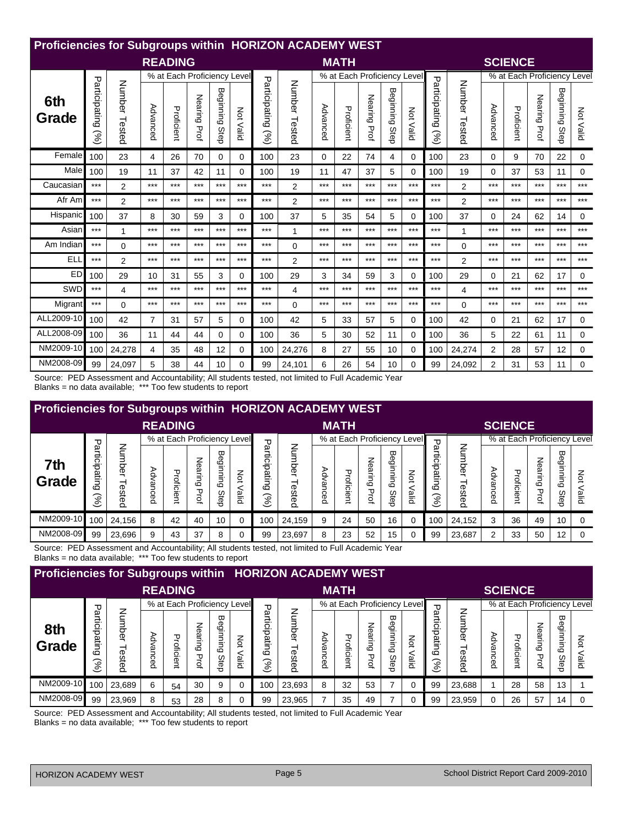| Proficiencies for Subgroups within HORIZON ACADEMY WEST |                                |                  |                |                             |              |                   |           |                                |                  |          |                             |                 |                   |            |                       |                |                |                             |                 |                   |             |
|---------------------------------------------------------|--------------------------------|------------------|----------------|-----------------------------|--------------|-------------------|-----------|--------------------------------|------------------|----------|-----------------------------|-----------------|-------------------|------------|-----------------------|----------------|----------------|-----------------------------|-----------------|-------------------|-------------|
|                                                         |                                |                  |                | <b>READING</b>              |              |                   |           |                                |                  |          | <b>MATH</b>                 |                 |                   |            |                       |                |                | <b>SCIENCE</b>              |                 |                   |             |
|                                                         |                                |                  |                | % at Each Proficiency Level |              |                   |           |                                |                  |          | % at Each Proficiency Level |                 |                   |            |                       |                |                | % at Each Proficiency Level |                 |                   |             |
| 6th<br>Grade                                            | Participating<br>$\mathcal{S}$ | Number<br>Tested | Advanced       | Proficient                  | Nearing Prof | Beginning<br>Step | Not Valid | Participating<br>$\mathcal{S}$ | Number<br>Tested | Advanced | Proficient                  | Nearing<br>Prof | Beginning<br>Step | Μ<br>Valid | Participating<br>(96) | Number Tested  | Advanced       | Proficient                  | Nearing<br>Prof | Beginning<br>Step | Not Valid   |
| Female                                                  | 100                            | 23               | 4              | 26                          | 70           | 0                 | 0         | 100                            | 23               | 0        | 22                          | 74              | 4                 | 0          | 100                   | 23             | 0              | 9                           | 70              | 22                | 0           |
| Male                                                    | 100                            | 19               | 11             | 37                          | 42           | 11                | $\Omega$  | 100                            | 19               | 11       | 47                          | 37              | 5                 | 0          | 100                   | 19             | 0              | 37                          | 53              | 11                | 0           |
| Caucasian                                               | $***$                          | 2                | $***$          | $***$                       | $***$        | $***$             | $***$     | $***$                          | 2                | $***$    | $***$                       | $***$           | $***$             | $***$      | $***$                 | $\overline{2}$ | $***$          | $***$                       | $***$           | $***$             | $***$       |
| Afr Am                                                  | $***$                          | 2                | ***            | $***$                       | $***$        | $***$             | $***$     | $***$                          | 2                | ***      | ***                         | $***$           | ***               | $***$      | ***                   | $\overline{2}$ | $***$          | ***                         | ***             | $***$             | $***$       |
| Hispanic                                                | 100                            | 37               | 8              | 30                          | 59           | 3                 | $\Omega$  | 100                            | 37               | 5        | 35                          | 54              | 5                 | 0          | 100                   | 37             | 0              | 24                          | 62              | 14                | 0           |
| Asian                                                   | $***$                          | 1                | ***            | $***$                       | $***$        | $***$             | $***$     | $***$                          | $\mathbf{1}$     | ***      | ***                         | $***$           | ***               | $***$      | $***$                 | 1              | $***$          | $***$                       | ***             | $***$             | $***$       |
| Am Indian                                               | $***$                          | $\Omega$         | ***            | $***$                       | $***$        | $***$             | $***$     | $***$                          | $\Omega$         | $***$    | $***$                       | $***$           | $***$             | $***$      | ***                   | $\Omega$       | $***$          | $***$                       | $***$           | $***$             | $***$       |
| ELI                                                     | $***$                          | 2                | $***$          | $***$                       | $***$        | $***$             | $***$     | $***$                          | $\overline{2}$   | $***$    | $***$                       | $***$           | ***               | $***$      | $***$                 | $\overline{2}$ | $***$          | $***$                       | ***             | $***$             | $***$       |
| ED                                                      | 100                            | 29               | 10             | 31                          | 55           | 3                 | $\Omega$  | 100                            | 29               | 3        | 34                          | 59              | 3                 | 0          | 100                   | 29             | 0              | 21                          | 62              | 17                | 0           |
| SWD                                                     | $***$                          | 4                | ***            | $***$                       | $***$        | $***$             | $***$     | $***$                          | 4                | ***      | $***$                       | $***$           | $***$             | $***$      | $***$                 | 4              | $***$          | $***$                       | $***$           | $***$             | $***$       |
| Migrant                                                 | $***$                          | $\Omega$         | ***            | $***$                       | $***$        | $***$             | $***$     | $***$                          | $\Omega$         | $***$    | $***$                       | $***$           | ***               | $***$      | $***$                 | $\Omega$       | $***$          | $***$                       | $***$           | $***$             | $***$       |
| ALL2009-10                                              | 100                            | 42               | $\overline{7}$ | 31                          | 57           | 5                 | $\Omega$  | 100                            | 42               | 5        | 33                          | 57              | 5                 | 0          | 100                   | 42             | $\Omega$       | 21                          | 62              | 17                | 0           |
| ALL2008-09                                              | 100                            | 36               | 11             | 44                          | 44           | 0                 | $\Omega$  | 100                            | 36               | 5        | 30                          | 52              | 11                | 0          | 100                   | 36             | 5              | 22                          | 61              | 11                | 0           |
| NM2009-10                                               | 100                            | 24,278           | 4              | 35                          | 48           | 12                | $\Omega$  | 100                            | 24,276           | 8        | 27                          | 55              | 10                | 0          | 100                   | 24,274         | $\overline{2}$ | 28                          | 57              | 12                | $\mathbf 0$ |
| NM2008-09                                               | 99                             | 24,097           | 5              | 38                          | 44           | 10                | $\Omega$  | 99                             | 24,101           | 6        | 26                          | 54              | 10                | 0          | 99                    | 24,092         | 2              | 31                          | 53              | 11                | 0           |

Source: PED Assessment and Accountability; All students tested, not limited to Full Academic Year Blanks = no data available; \*\*\* Too few students to report

| <b>Proficiencies for Subgroups within HORIZON ACADEMY WEST</b> |                                                           |                                          |          |                             |                 |                                             |                                |                                             |                           |                            |                             |                   |                   |             |                                 |                    |                          |                             |                                |                   |            |
|----------------------------------------------------------------|-----------------------------------------------------------|------------------------------------------|----------|-----------------------------|-----------------|---------------------------------------------|--------------------------------|---------------------------------------------|---------------------------|----------------------------|-----------------------------|-------------------|-------------------|-------------|---------------------------------|--------------------|--------------------------|-----------------------------|--------------------------------|-------------------|------------|
|                                                                |                                                           |                                          |          | <b>READING</b>              |                 |                                             |                                |                                             |                           |                            | <b>MATH</b>                 |                   |                   |             |                                 |                    |                          | <b>SCIENCE</b>              |                                |                   |            |
|                                                                | ᠊ᠣ                                                        |                                          |          | % at Each Proficiency Level |                 |                                             |                                | ᠊ᠣ                                          |                           |                            | % at Each Proficiency Level |                   |                   |             | ᠊ᠣ                              |                    |                          | % at Each Proficiency Level |                                |                   |            |
| 7th<br>Grade                                                   | <sup>a</sup> nticip<br>atin<br>$\mathcal{S}_{\mathbf{0}}$ | z<br>$\mathbf{C}$<br>imber<br>⊣<br>ested | Advanced | ᠊ᠣ<br>roficient             | Nearing<br>Prof | ᡂ<br>Ф<br>ülup<br>E<br>₹<br>$\omega$<br>Ste | Νot<br>鸟<br>$\overline{\circ}$ | يو<br>흥<br>قرا<br>$\omega$<br>$\mathcal{S}$ | ₹<br>Ō<br><b>GST</b><br>8 | ⋗<br>ڣ<br>قا<br><b>Gea</b> | Proficient                  | 좋<br>ه<br>᠊ᠣ<br>₫ | Beginning<br>Step | ŠΣ<br>pilid | artic<br>ਚੋਂ<br>atin<br>ھ<br>જી | ℥<br>imbe<br>ested | ⋗<br>á<br>قا<br>ັດ<br>ອອ | Proficient                  | 종<br>قِهِ<br>Б<br>ه<br>᠊ᠣ<br>₫ | Beginning<br>Step | š<br>allid |
| NM2009-10                                                      | 100                                                       | 24,156                                   | 8        | 42                          | 40              | 10                                          | $\overline{0}$                 | 100                                         | 24,159                    | 9                          | 24                          | 50                | 16                |             | 100                             | 24,152             | 3                        | 36                          | 49                             | 10                |            |
| NM2008-09                                                      | 99                                                        | 23,696                                   | 9        | 43                          | 37              | 8                                           | $\Omega$                       | 99                                          | 23,697                    | 8                          | 23                          | 52                | 15                |             | 99                              | 23,687             | 2                        | 33                          | 50                             | $12 \overline{ }$ |            |

Source: PED Assessment and Accountability; All students tested, not limited to Full Academic Year<br>Blanks = no data available; \*\*\* Too few students to report

| <b>Proficiencies for Subgroups within HORIZON ACADEMY WEST</b> |                                                                                                                                                                                    |        |   |                |    |   |                   |                                                 |                |                       |                             |                           |                               |                         |                                        |                             |                      |                             |                 |                   |           |
|----------------------------------------------------------------|------------------------------------------------------------------------------------------------------------------------------------------------------------------------------------|--------|---|----------------|----|---|-------------------|-------------------------------------------------|----------------|-----------------------|-----------------------------|---------------------------|-------------------------------|-------------------------|----------------------------------------|-----------------------------|----------------------|-----------------------------|-----------------|-------------------|-----------|
|                                                                |                                                                                                                                                                                    |        |   | <b>READING</b> |    |   |                   |                                                 |                |                       | <b>MATH</b>                 |                           |                               |                         |                                        |                             |                      | <b>SCIENCE</b>              |                 |                   |           |
|                                                                | ᠊ᠣ                                                                                                                                                                                 |        |   |                |    |   |                   | ᠊ᠣ                                              |                |                       | % at Each Proficiency Level |                           |                               |                         | ᠊ᠣ                                     |                             |                      | % at Each Proficiency Level |                 |                   |           |
| 8th<br>Grade                                                   | % at Each Proficiency Level<br>Number<br>arti<br>ದ<br>ಅ<br>Neari<br>O<br>innig<br><br>ਠ<br>Advan<br>Proficien<br>atin<br>.ji<br>ᆨ<br>6<br>ested<br>ه<br>Prof<br>Ō<br>Ste<br>ğ<br>ૢ |        |   |                |    |   | Νot<br>$\,<$<br>읖 | یو<br>⋍<br>Ω.<br>ਹ<br>pating<br>$\mathcal{S}_0$ | 0<br>ወ<br>este | ⋗<br>ݠ<br>g<br>ᅙ<br>Ö | Proficient                  | 종<br>ݠ<br>Ξ.<br>6<br>Prof | 96<br><b>Bulnning</b><br>Step | ΚÓ<br>bile <sup>1</sup> | artici<br>ਹ<br>pating<br>$\mathcal{S}$ | ξ<br><br>nber<br>⊣<br>ested | ⋗<br>وّ<br>قع<br>cea | roficient                   | Nearing<br>Prof | Beginning<br>Step | ξ<br>allo |
| NM2009-10                                                      | 100                                                                                                                                                                                | 23,689 | 6 | 54             | 30 | 9 | 0                 | 100                                             | 23,693         | 8                     | 32                          | 53                        |                               |                         | 99                                     | 23,688                      |                      | 28                          | 58              | 13                |           |
| NM2008-09                                                      | 99                                                                                                                                                                                 | 23,969 | 8 | 53             | 28 | 8 |                   | 99                                              | 23,965         |                       | 35                          | 49                        |                               |                         | 99                                     | 23,959                      |                      | 26                          | 57              | 14                |           |

Source: PED Assessment and Accountability; All students tested, not limited to Full Academic Year

Blanks = no data available; \*\*\* Too few students to report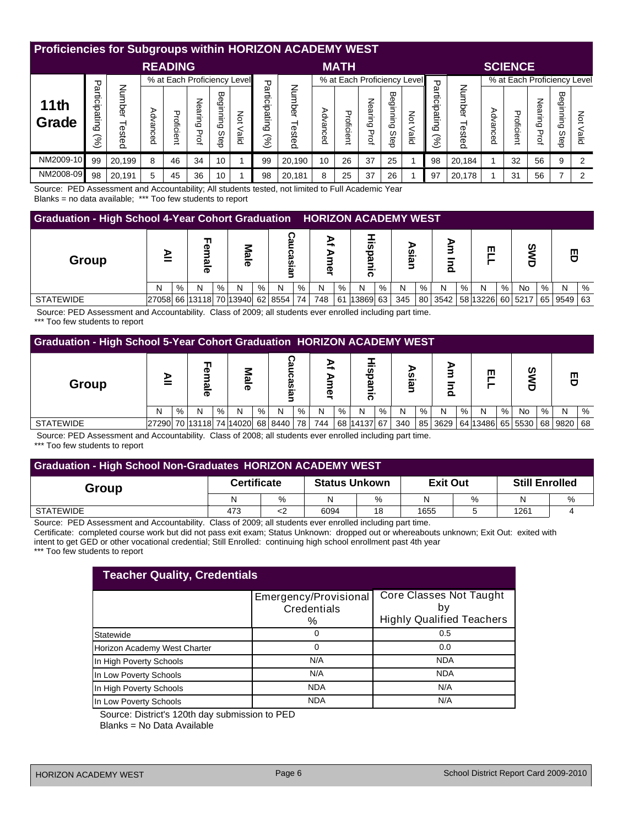| <b>Proficiencies for Subgroups within HORIZON ACADEMY WEST</b>                                                                                                                                                                                              |    |        |   |                |    |    |  |            |                               |                    |                             |                                   |                   |                     |                                                           |                 |          |                             |                        |                      |             |
|-------------------------------------------------------------------------------------------------------------------------------------------------------------------------------------------------------------------------------------------------------------|----|--------|---|----------------|----|----|--|------------|-------------------------------|--------------------|-----------------------------|-----------------------------------|-------------------|---------------------|-----------------------------------------------------------|-----------------|----------|-----------------------------|------------------------|----------------------|-------------|
|                                                                                                                                                                                                                                                             |    |        |   | <b>READING</b> |    |    |  |            |                               |                    | <b>MATH</b>                 |                                   |                   |                     |                                                           |                 |          | <b>SCIENCE</b>              |                        |                      |             |
|                                                                                                                                                                                                                                                             |    |        |   |                |    |    |  | ᠊ᠣ<br>تِهِ |                               |                    | % at Each Proficiency Level |                                   |                   |                     | ᠊ᠣ                                                        |                 |          | % at Each Proficiency Level |                        |                      |             |
| % at Each Proficiency Level<br>᠊ᠣ<br>Number<br>ari<br>E<br>ᡂ<br>Ō<br>Nearing<br>Ω.<br>11th<br>ainnin<br>ਠ<br>Advanced<br>물<br>Šά<br>훂.<br>Grade<br>∍<br>Tested<br>$\bar{\mathbf{o}}$<br>$\Omega$<br>cien<br>Prof<br>Step<br>ٌ≅ِ<br>ૢૢ<br>$\overline{\circ}$ |    |        |   |                |    |    |  |            | Num<br>ᇹ<br>መ<br>ወ<br>m<br>බි | ⋗<br>قح<br>ලි<br>Õ | Proficient                  | z<br>ear<br>.<br>Guj<br>᠊ᠣ<br>वुं | Beginning<br>Step | z<br>$\circ$<br>eig | artici<br>ipatin<br>$\circ$<br>$\mathcal{S}_{\mathbf{0}}$ | Number<br>ested | Advancec | Proficient                  | Nearing<br><b>Prof</b> | Βe<br>Bunung<br>Step | Μò<br>pilic |
| NM2009-10                                                                                                                                                                                                                                                   | 99 | 20,199 | 8 | 46             | 34 | 10 |  | 99         | 20,190                        | 10                 | 26                          | 37                                | 25                |                     | 98                                                        | 20,184          |          | 32                          | 56                     | 9                    | 2           |
| NM2008-09                                                                                                                                                                                                                                                   | 98 | 20,191 | 5 | 45             | 36 | 10 |  | 98         | 20,181                        | 8                  | 25                          | 37                                | 26                |                     | 97                                                        | 20,178          |          | 31                          | 56                     |                      | 2           |
|                                                                                                                                                                                                                                                             |    |        |   |                |    |    |  |            |                               |                    |                             |                                   |                   |                     |                                                           |                 |          |                             |                        |                      |             |

Source: PED Assessment and Accountability; All students tested, not limited to Full Academic Year Blanks = no data available; \*\*\* Too few students to report

**Graduation - High School 4-Year Cohort Graduation HORIZON ACADEMY WEST**

| $\sim$ 0 audition - High concert - Fear conciled audition - Homeon AcADEMI MEOT |   |   |   |   |                                 |   |   |    |     |    |          |   |     |      |                  |   |   |   |         |      |         |   |
|---------------------------------------------------------------------------------|---|---|---|---|---------------------------------|---|---|----|-----|----|----------|---|-----|------|------------------|---|---|---|---------|------|---------|---|
| Group                                                                           |   |   | œ |   | മ<br>$\overline{\mathbf{a}}$    |   | Ø |    | መ   |    | ក"       |   | ವ್  |      |                  |   | ш |   | ഗ       |      | ш       |   |
|                                                                                 | Ν | % | N | % | N                               | % | N | %  | N   | %  | N        | % | N   | $\%$ | N                | % | N | % | No      | $\%$ | N       | % |
| <b>STATEWIDE</b>                                                                |   |   |   |   | 27058 66 13118 70 13940 62 8554 |   |   | 74 | 748 | 61 | 13869 63 |   | 345 |      | 80 3542 58 13226 |   |   |   | 60 5217 | 65   | 9549 63 |   |

 Source: PED Assessment and Accountability. Class of 2009; all students ever enrolled including part time. \*\*\* Too few students to report

| <b>Graduation - High School 5-Year Cohort Graduation HORIZON ACADEMY WEST</b> |                                    |      |                  |   |          |   |                     |   |         |      |             |      |      |    |               |   |          |     |               |      |            |   |
|-------------------------------------------------------------------------------|------------------------------------|------|------------------|---|----------|---|---------------------|---|---------|------|-------------|------|------|----|---------------|---|----------|-----|---------------|------|------------|---|
| Group                                                                         | ⋗                                  |      | ╖<br>œ<br>ω<br>ౚ |   | Mal<br>ক |   | ຕ<br>ດ<br><u>يو</u> |   | ₹.<br>Φ |      | ъ<br>-      |      | sian |    | ⋗<br>$\Omega$ |   | ш        |     | <b>S</b><br>σ |      | 띰          |   |
|                                                                               | N                                  | $\%$ | N                | % | N        | % | N                   | % | N       | $\%$ | N           | $\%$ | N    | %  | N             | % | N        | % । | No            | $\%$ | N          | % |
| <b>STATEWIDE</b>                                                              | 27290 70 13118 74 14020 68 8440 78 |      |                  |   |          |   |                     |   | 744     |      | 68 14137 67 |      | 340  | 85 | 3629          |   | 64 13486 |     | 65 5530       | 68   | ∣9820   68 |   |
| ----                                                                          | .                                  |      |                  |   |          |   |                     |   |         |      | .           |      |      |    |               |   |          |     |               |      |            |   |

 Source: PED Assessment and Accountability. Class of 2008; all students ever enrolled including part time. \*\*\* Too few students to report

| <b>Graduation - High School Non-Graduates HORIZON ACADEMY WEST</b> |    |                    |    |                      |      |                       |   |  |  |  |  |
|--------------------------------------------------------------------|----|--------------------|----|----------------------|------|-----------------------|---|--|--|--|--|
|                                                                    |    |                    |    |                      |      | <b>Still Enrolled</b> |   |  |  |  |  |
| N                                                                  | %  | N                  | %  | N                    | $\%$ | N                     | % |  |  |  |  |
| 473                                                                | <2 | 6094               | 18 | 1655                 |      | 1261                  |   |  |  |  |  |
|                                                                    |    | <b>Certificate</b> |    | <b>Status Unkown</b> |      | <b>Exit Out</b>       |   |  |  |  |  |

Source: PED Assessment and Accountability. Class of 2009; all students ever enrolled including part time.

Certificate: completed course work but did not pass exit exam; Status Unknown: dropped out or whereabouts unknown; Exit Out: exited with intent to get GED or other vocational credential; Still Enrolled: continuing high school enrollment past 4th year

\*\*\* Too few students to report

| <b>Teacher Quality, Credentials</b> |                                      |                                  |  |  |  |  |  |  |  |  |
|-------------------------------------|--------------------------------------|----------------------------------|--|--|--|--|--|--|--|--|
|                                     | Emergency/Provisional<br>Credentials | Core Classes Not Taught<br>b٧    |  |  |  |  |  |  |  |  |
|                                     | %                                    | <b>Highly Qualified Teachers</b> |  |  |  |  |  |  |  |  |
| Statewide                           | 0                                    | 0.5                              |  |  |  |  |  |  |  |  |
| Horizon Academy West Charter        | 0                                    | 0.0                              |  |  |  |  |  |  |  |  |
| In High Poverty Schools             | N/A                                  | <b>NDA</b>                       |  |  |  |  |  |  |  |  |
| In Low Poverty Schools              | N/A                                  | <b>NDA</b>                       |  |  |  |  |  |  |  |  |
| In High Poverty Schools             | <b>NDA</b>                           | N/A                              |  |  |  |  |  |  |  |  |
| In Low Poverty Schools              | <b>NDA</b>                           | N/A                              |  |  |  |  |  |  |  |  |

Source: District's 120th day submission to PED

Blanks = No Data Available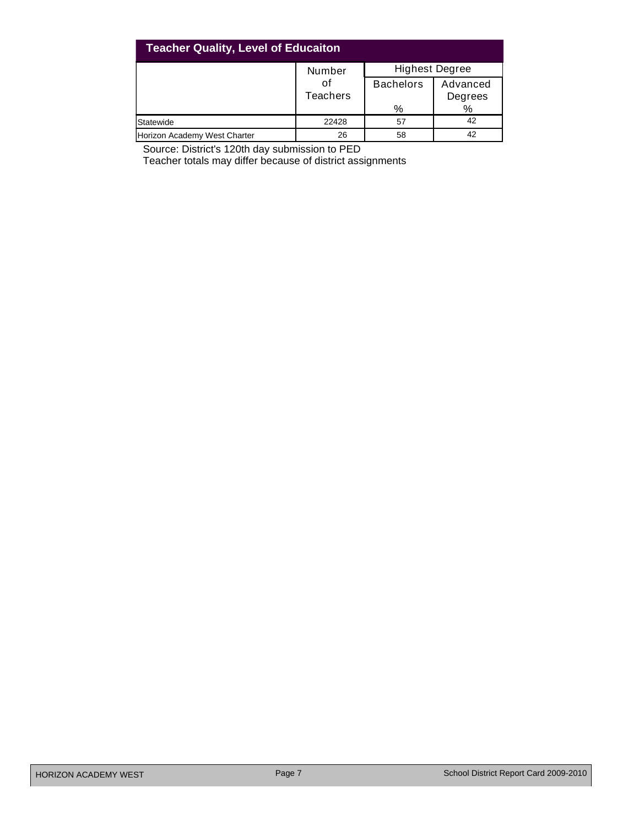| <b>Teacher Quality, Level of Educaiton</b> |                       |                       |                     |  |  |  |  |  |  |  |
|--------------------------------------------|-----------------------|-----------------------|---------------------|--|--|--|--|--|--|--|
|                                            | Number                | <b>Highest Degree</b> |                     |  |  |  |  |  |  |  |
|                                            | оf<br><b>Teachers</b> | <b>Bachelors</b>      | Advanced<br>Degrees |  |  |  |  |  |  |  |
|                                            |                       | %                     | %                   |  |  |  |  |  |  |  |
| Statewide                                  | 22428                 | 57                    | 42                  |  |  |  |  |  |  |  |
| Horizon Academy West Charter               | 26                    | 58                    | 42                  |  |  |  |  |  |  |  |

Source: District's 120th day submission to PED

Teacher totals may differ because of district assignments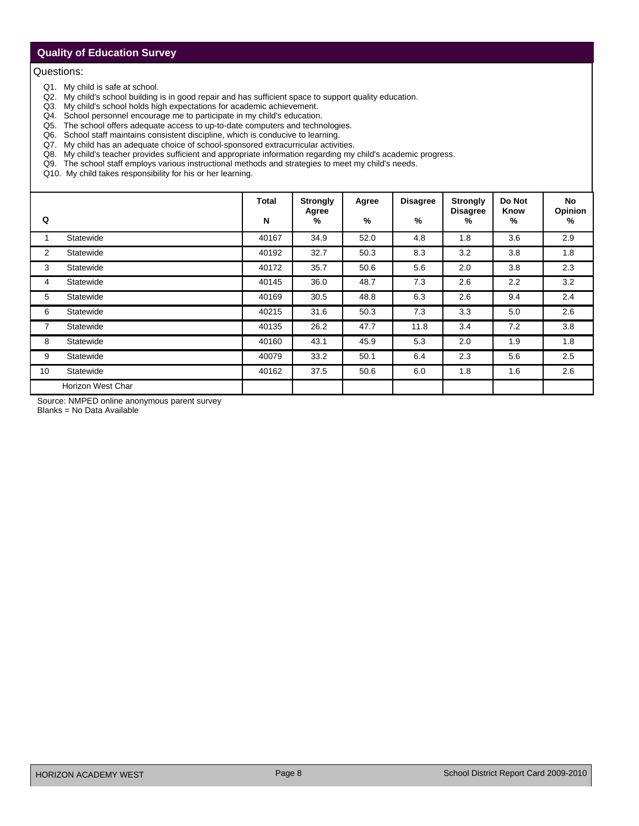# **Quality of Education Survey**

#### Questions:

- Q1. My child is safe at school.
- Q2. My child's school building is in good repair and has sufficient space to support quality education.
- Q3. My child's school holds high expectations for academic achievement.
- Q4. School personnel encourage me to participate in my child's education.
- Q5. The school offers adequate access to up-to-date computers and technologies.
- Q6. School staff maintains consistent discipline, which is conducive to learning.
- Q7. My child has an adequate choice of school-sponsored extracurricular activities.
- Q8. My child's teacher provides sufficient and appropriate information regarding my child's academic progress.
- Q9. The school staff employs various instructional methods and strategies to meet my child's needs.
- Q10. My child takes responsibility for his or her learning.

| Q              |                   | Total<br>${\bf N}$ | <b>Strongly</b><br>Agree<br>% | Agree<br>% | <b>Disagree</b><br>% | <b>Strongly</b><br><b>Disagree</b><br>% | Do Not<br>Know<br>% | No<br>Opinion<br>% |
|----------------|-------------------|--------------------|-------------------------------|------------|----------------------|-----------------------------------------|---------------------|--------------------|
|                | Statewide         | 40167              | 34.9                          | 52.0       | 4.8                  | 1.8                                     | 3.6                 | 2.9                |
| $\overline{2}$ | Statewide         | 40192              | 32.7                          | 50.3       | 8.3                  | 3.2                                     | 3.8                 | 1.8                |
| 3              | Statewide         | 40172              | 35.7                          | 50.6       | 5.6                  | 2.0                                     | 3.8                 | 2.3                |
| 4              | Statewide         | 40145              | 36.0                          | 48.7       | 7.3                  | 2.6                                     | 2.2                 | 3.2                |
| 5              | Statewide         | 40169              | 30.5                          | 48.8       | 6.3                  | 2.6                                     | 9.4                 | 2.4                |
| 6              | Statewide         | 40215              | 31.6                          | 50.3       | 7.3                  | 3.3                                     | 5.0                 | 2.6                |
| $\overline{7}$ | Statewide         | 40135              | 26.2                          | 47.7       | 11.8                 | 3.4                                     | 7.2                 | 3.8                |
| 8              | Statewide         | 40160              | 43.1                          | 45.9       | 5.3                  | 2.0                                     | 1.9                 | 1.8                |
| 9              | Statewide         | 40079              | 33.2                          | 50.1       | 6.4                  | 2.3                                     | 5.6                 | 2.5                |
| 10             | Statewide         | 40162              | 37.5                          | 50.6       | 6.0                  | 1.8                                     | 1.6                 | 2.6                |
|                | Horizon West Char |                    |                               |            |                      |                                         |                     |                    |

Source: NMPED online anonymous parent survey

Blanks = No Data Available